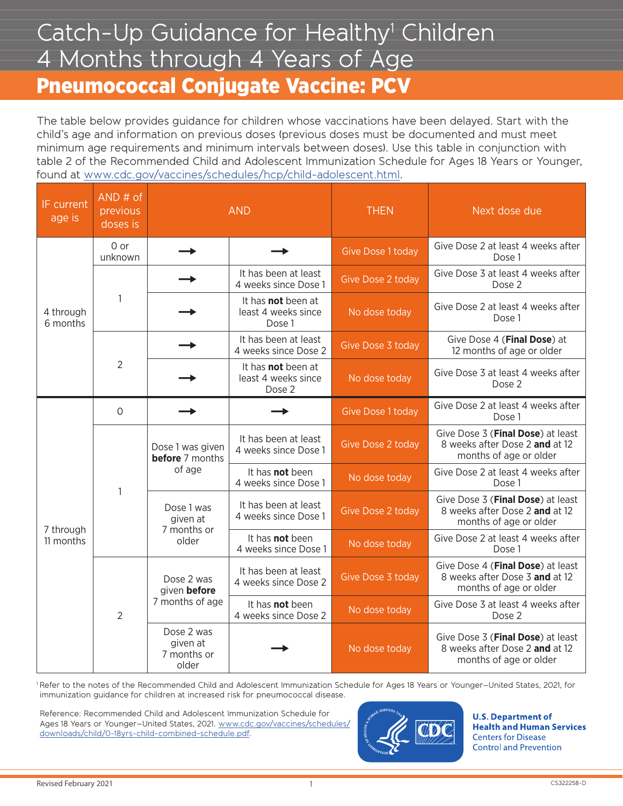## Catch-Up Guidance for Healthy<sup>1</sup> Children 4 Months through 4 Years of Age Pneumococcal Conjugate Vaccine: PCV

The table below provides guidance for children whose vaccinations have been delayed. Start with the child's age and information on previous doses (previous doses must be documented and must meet minimum age requirements and minimum intervals between doses). Use this table in conjunction with table 2 of the Recommended Child and Adolescent Immunization Schedule for Ages 18 Years or Younger, found at [www.cdc.gov/vaccines/schedules/hcp/child-adolescent.html.](https://www.cdc.gov/vaccines/schedules/hcp/child-adolescent.html)

| IF current<br>age is   | $AND#$ of<br>previous<br>doses is | <b>AND</b>                                           |                                                     | <b>THEN</b>              | Next dose due                                                                                 |
|------------------------|-----------------------------------|------------------------------------------------------|-----------------------------------------------------|--------------------------|-----------------------------------------------------------------------------------------------|
| 4 through<br>6 months  | 0 or<br>unknown                   |                                                      |                                                     | <b>Give Dose 1 today</b> | Give Dose 2 at least 4 weeks after<br>Dose 1                                                  |
|                        | $\mathbf{1}$                      |                                                      | It has been at least<br>4 weeks since Dose 1        | Give Dose 2 today        | Give Dose 3 at least 4 weeks after<br>Dose 2                                                  |
|                        |                                   |                                                      | It has not been at<br>least 4 weeks since<br>Dose 1 | No dose today            | Give Dose 2 at least 4 weeks after<br>Dose 1                                                  |
|                        | $\overline{2}$                    |                                                      | It has been at least<br>4 weeks since Dose 2        | Give Dose 3 today        | Give Dose 4 (Final Dose) at<br>12 months of age or older                                      |
|                        |                                   |                                                      | It has not been at<br>least 4 weeks since<br>Dose 2 | No dose today            | Give Dose 3 at least 4 weeks after<br>Dose 2                                                  |
| 7 through<br>11 months | $\circ$                           |                                                      |                                                     | <b>Give Dose 1 today</b> | Give Dose 2 at least 4 weeks after<br>Dose 1                                                  |
|                        | 1                                 | Dose 1 was given<br><b>before</b> 7 months<br>of age | It has been at least<br>4 weeks since Dose 1        | Give Dose 2 today        | Give Dose 3 (Final Dose) at least<br>8 weeks after Dose 2 and at 12<br>months of age or older |
|                        |                                   |                                                      | It has not been<br>4 weeks since Dose 1             | No dose today            | Give Dose 2 at least 4 weeks after<br>Dose 1                                                  |
|                        |                                   | Dose 1 was<br>given at<br>7 months or<br>older       | It has been at least<br>4 weeks since Dose 1        | <b>Give Dose 2 today</b> | Give Dose 3 (Final Dose) at least<br>8 weeks after Dose 2 and at 12<br>months of age or older |
|                        |                                   |                                                      | It has <b>not</b> been<br>4 weeks since Dose 1      | No dose today            | Give Dose 2 at least 4 weeks after<br>Dose 1                                                  |
|                        | $\overline{2}$                    | Dose 2 was<br>given before<br>7 months of age        | It has been at least<br>4 weeks since Dose 2        | Give Dose 3 today        | Give Dose 4 (Final Dose) at least<br>8 weeks after Dose 3 and at 12<br>months of age or older |
|                        |                                   |                                                      | It has <b>not</b> been<br>4 weeks since Dose 2      | No dose today            | Give Dose 3 at least 4 weeks after<br>Dose 2                                                  |
|                        |                                   | Dose 2 was<br>given at<br>7 months or<br>older       |                                                     | No dose today            | Give Dose 3 (Final Dose) at least<br>8 weeks after Dose 2 and at 12<br>months of age or older |

1 Refer to the notes of the Recommended Child and Adolescent Immunization Schedule for Ages 18 Years or Younger–United States, 2021, for immunization guidance for children at increased risk for pneumococcal disease.

Reference: Recommended Child and Adolescent Immunization Schedule for Ages 18 Years or Younger-United States, 2021[. www.cdc.gov/vaccines/schedules/](https://www.cdc.gov/vaccines/schedules/downloads/child/0-18yrs-child-combined-schedule.pdf) [downloads/child/0-18yrs-child-combined-schedule.pdf.](https://www.cdc.gov/vaccines/schedules/downloads/child/0-18yrs-child-combined-schedule.pdf)



**U.S. Department of Health and Human Services Centers for Disease Control and Prevention** 

1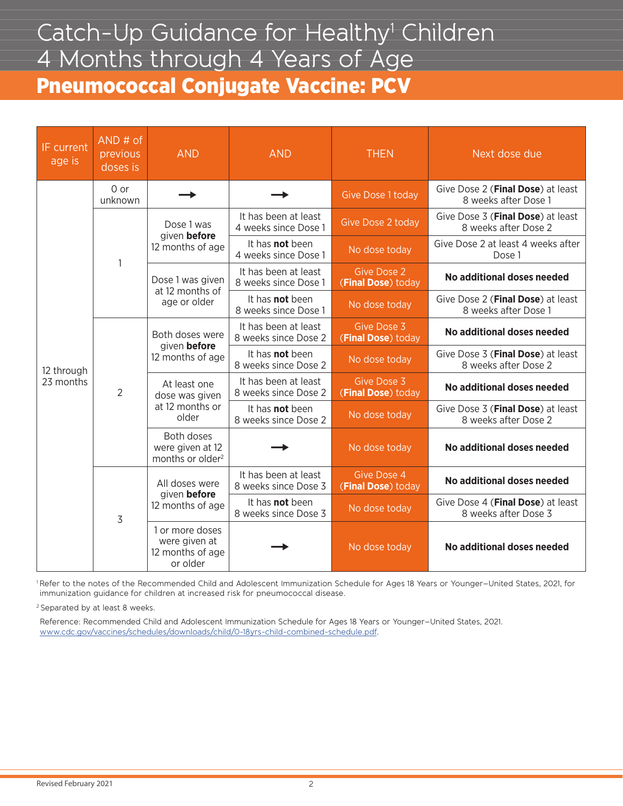## Catch-Up Guidance for Healthy<sup>1</sup> Children 4 Months through 4 Years of Age Pneumococcal Conjugate Vaccine: PCV

| IF current<br>age is    | $AND#$ of<br>previous<br>doses is | <b>AND</b>                                                       | <b>AND</b>                                     | <b>THEN</b>                              | Next dose due                                             |  |
|-------------------------|-----------------------------------|------------------------------------------------------------------|------------------------------------------------|------------------------------------------|-----------------------------------------------------------|--|
| 12 through<br>23 months | 0 or<br>unknown                   |                                                                  |                                                | Give Dose 1 today                        | Give Dose 2 (Final Dose) at least<br>8 weeks after Dose 1 |  |
|                         | $\mathbf{1}$                      | Dose 1 was<br>given before<br>12 months of age                   | It has been at least<br>4 weeks since Dose 1   | Give Dose 2 today                        | Give Dose 3 (Final Dose) at least<br>8 weeks after Dose 2 |  |
|                         |                                   |                                                                  | It has <b>not</b> been<br>4 weeks since Dose 1 | No dose today                            | Give Dose 2 at least 4 weeks after<br>Dose 1              |  |
|                         |                                   | Dose 1 was given<br>at 12 months of<br>age or older              | It has been at least<br>8 weeks since Dose 1   | <b>Give Dose 2</b><br>(Final Dose) today | No additional doses needed                                |  |
|                         |                                   |                                                                  | It has <b>not</b> been<br>8 weeks since Dose 1 | No dose today                            | Give Dose 2 (Final Dose) at least<br>8 weeks after Dose 1 |  |
|                         | $\overline{2}$                    | Both doses were<br>given before<br>12 months of age              | It has been at least<br>8 weeks since Dose 2   | Give Dose 3<br>(Final Dose) today        | No additional doses needed                                |  |
|                         |                                   |                                                                  | It has <b>not</b> been<br>8 weeks since Dose 2 | No dose today                            | Give Dose 3 (Final Dose) at least<br>8 weeks after Dose 2 |  |
|                         |                                   | At least one<br>dose was given<br>at 12 months or<br>older       | It has been at least<br>8 weeks since Dose 2   | Give Dose 3<br>(Final Dose) today        | No additional doses needed                                |  |
|                         |                                   |                                                                  | It has <b>not</b> been<br>8 weeks since Dose 2 | No dose today                            | Give Dose 3 (Final Dose) at least<br>8 weeks after Dose 2 |  |
|                         |                                   | Both doses<br>were given at 12<br>months or older <sup>2</sup>   |                                                | No dose today                            | No additional doses needed                                |  |
|                         | 3                                 | All doses were<br>given before<br>12 months of age               | It has been at least<br>8 weeks since Dose 3   | Give Dose 4<br>(Final Dose) today        | No additional doses needed                                |  |
|                         |                                   |                                                                  | It has <b>not</b> been<br>8 weeks since Dose 3 | No dose today                            | Give Dose 4 (Final Dose) at least<br>8 weeks after Dose 3 |  |
|                         |                                   | 1 or more doses<br>were given at<br>12 months of age<br>or older |                                                | No dose today                            | No additional doses needed                                |  |

1 Refer to the notes of the Recommended Child and Adolescent Immunization Schedule for Ages 18 Years or Younger–United States, 2021, for immunization guidance for children at increased risk for pneumococcal disease.

2 Separated by at least 8 weeks.

Reference: Recommended Child and Adolescent Immunization Schedule for Ages 18 Years or Younger–United States, 2021. [www.cdc.gov/vaccines/schedules/downloads/child/0-18yrs-child-combined-schedule.pdf.](https://www.cdc.gov/vaccines/schedules/downloads/child/0-18yrs-child-combined-schedule.pdf)